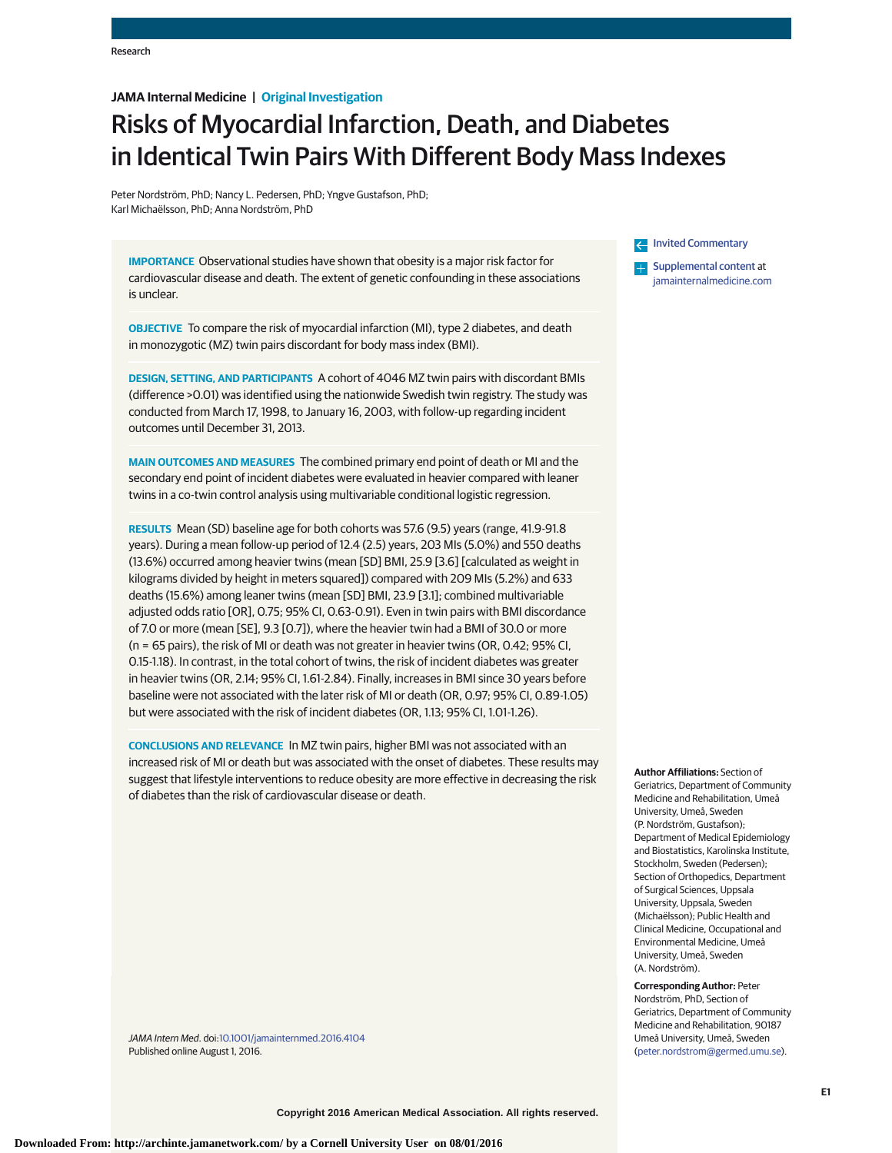# **JAMA Internal Medicine | Original Investigation**

# Risks of Myocardial Infarction, Death, and Diabetes in Identical Twin Pairs With Different Body Mass Indexes

Peter Nordström, PhD; Nancy L. Pedersen, PhD; Yngve Gustafson, PhD; Karl Michaëlsson, PhD; Anna Nordström, PhD

**IMPORTANCE** Observational studies have shown that obesity is a major risk factor for cardiovascular disease and death. The extent of genetic confounding in these associations is unclear.

**OBJECTIVE** To compare the risk of myocardial infarction (MI), type 2 diabetes, and death in monozygotic (MZ) twin pairs discordant for body mass index (BMI).

**DESIGN, SETTING, AND PARTICIPANTS** A cohort of 4046 MZ twin pairs with discordant BMIs (difference >0.01) was identified using the nationwide Swedish twin registry. The study was conducted from March 17, 1998, to January 16, 2003, with follow-up regarding incident outcomes until December 31, 2013.

**MAIN OUTCOMES AND MEASURES** The combined primary end point of death or MI and the secondary end point of incident diabetes were evaluated in heavier compared with leaner twins in a co-twin control analysis using multivariable conditional logistic regression.

**RESULTS** Mean (SD) baseline age for both cohorts was 57.6 (9.5) years (range, 41.9-91.8 years). During a mean follow-up period of 12.4 (2.5) years, 203 MIs (5.0%) and 550 deaths (13.6%) occurred among heavier twins (mean [SD] BMI, 25.9 [3.6] [calculated as weight in kilograms divided by height in meters squared]) compared with 209 MIs (5.2%) and 633 deaths (15.6%) among leaner twins (mean [SD] BMI, 23.9 [3.1]; combined multivariable adjusted odds ratio [OR], 0.75; 95% CI, 0.63-0.91). Even in twin pairs with BMI discordance of 7.0 or more (mean [SE], 9.3 [0.7]), where the heavier twin had a BMI of 30.0 or more (n = 65 pairs), the risk of MI or death was not greater in heavier twins (OR, 0.42; 95% CI, 0.15-1.18). In contrast, in the total cohort of twins, the risk of incident diabetes was greater in heavier twins (OR, 2.14; 95% CI, 1.61-2.84). Finally, increases in BMI since 30 years before baseline were not associated with the later risk of MI or death (OR, 0.97; 95% CI, 0.89-1.05) but were associated with the risk of incident diabetes (OR, 1.13; 95% CI, 1.01-1.26).

**CONCLUSIONS AND RELEVANCE** In MZ twin pairs, higher BMI was not associated with an increased risk of MI or death but was associated with the onset of diabetes. These results may suggest that lifestyle interventions to reduce obesity are more effective in decreasing the risk of diabetes than the risk of cardiovascular disease or death.

JAMA Intern Med. doi[:10.1001/jamainternmed.2016.4104](http://jama.jamanetwork.com/article.aspx?doi=10.1001/jamainternmed.2016.4104&utm_campaign=articlePDF%26utm_medium=articlePDFlink%26utm_source=articlePDF%26utm_content=jamainternmed.2016.4104) Published online August 1, 2016.

[Invited Commentary](http://jama.jamanetwork.com/article.aspx?doi=10.1001/jamainternmed.2016.4115&utm_campaign=articlePDF%26utm_medium=articlePDFlink%26utm_source=articlePDF%26utm_content=jamainternmed.2016.4104)

[Supplemental content](http://jama.jamanetwork.com/article.aspx?doi=10.1001/jamainternmed.2016.4104&utm_campaign=articlePDF%26utm_medium=articlePDFlink%26utm_source=articlePDF%26utm_content=jamainternmed.2016.4104) at [jamainternalmedicine.com](http://www.jamainternalmedicine.com/?utm_campaign=articlePDF%26utm_medium=articlePDFlink%26utm_source=articlePDF%26utm_content=jamainternmed.2016.4104)

**Author Affiliations:** Section of Geriatrics, Department of Community Medicine and Rehabilitation, Umeå University, Umeå, Sweden (P. Nordström, Gustafson); Department of Medical Epidemiology and Biostatistics, Karolinska Institute, Stockholm, Sweden (Pedersen); Section of Orthopedics, Department of Surgical Sciences, Uppsala University, Uppsala, Sweden (Michaëlsson); Public Health and Clinical Medicine, Occupational and Environmental Medicine, Umeå University, Umeå, Sweden (A. Nordström).

**Corresponding Author:** Peter Nordström, PhD, Section of Geriatrics, Department of Community Medicine and Rehabilitation, 90187 Umeå University, Umeå, Sweden [\(peter.nordstrom@germed.umu.se\)](mailto:peter.nordstrom@germed.umu.se).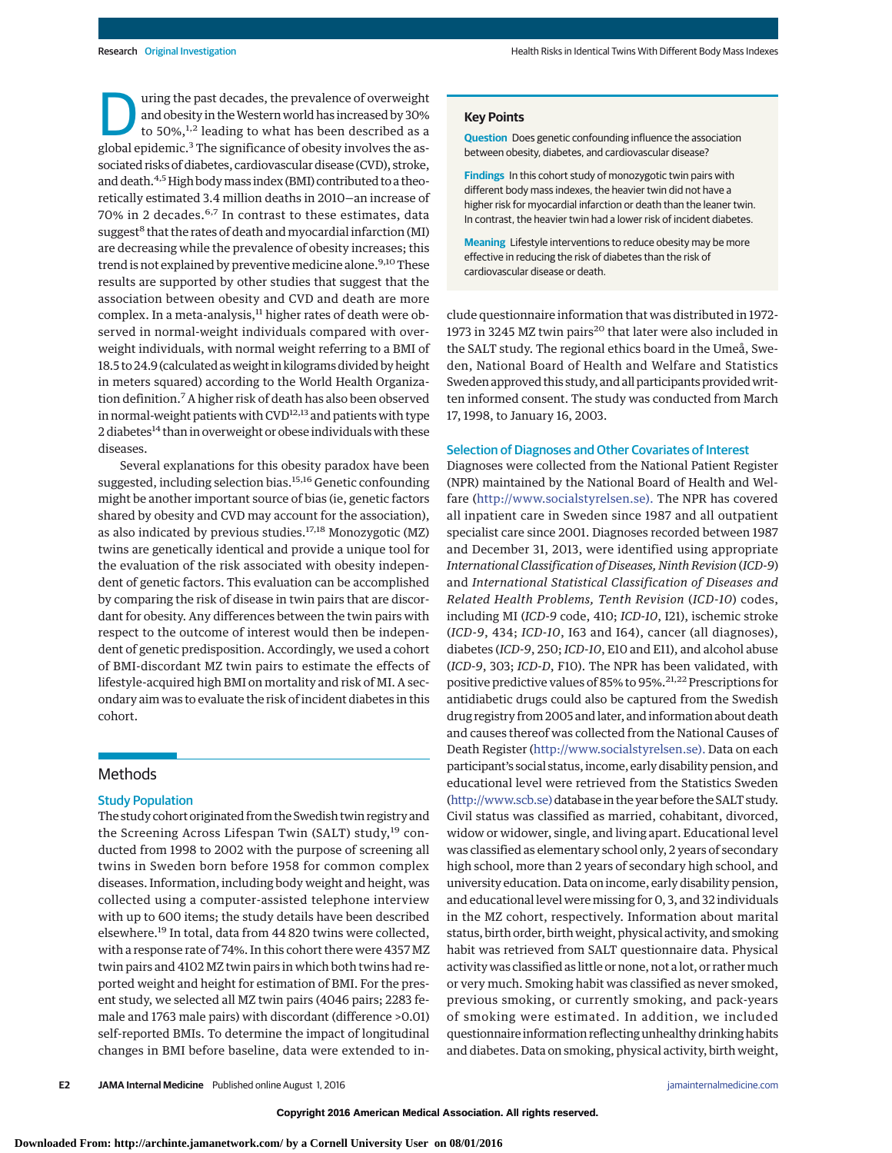uring the past decades, the prevalence of overweight<br>and obesity in the Western world has increased by 30%<br>to 50%,<sup>1,2</sup> leading to what has been described as a<br>global opidomic <sup>3</sup> The significance of obesity involves the a and obesity in the Western world has increased by 30% global epidemic.<sup>3</sup> The significance of obesity involves the associated risks of diabetes, cardiovascular disease (CVD), stroke, and death.<sup>4,5</sup> High body mass index (BMI) contributed to a theoretically estimated 3.4 million deaths in 2010—an increase of 70% in 2 decades.<sup>6,7</sup> In contrast to these estimates, data suggest<sup>8</sup> that the rates of death and myocardial infarction (MI) are decreasing while the prevalence of obesity increases; this trend is not explained by preventive medicine alone.<sup>9,10</sup> These results are supported by other studies that suggest that the association between obesity and CVD and death are more complex. In a meta-analysis,<sup>11</sup> higher rates of death were observed in normal-weight individuals compared with overweight individuals, with normal weight referring to a BMI of 18.5 to 24.9 (calculated asweight in kilograms divided by height in meters squared) according to the World Health Organization definition.<sup>7</sup> A higher risk of death has also been observed in normal-weight patients with  $\mathrm{CVD}^{12,13}$  and patients with type 2 diabetes<sup>14</sup> than in overweight or obese individuals with these diseases.

Several explanations for this obesity paradox have been suggested, including selection bias.<sup>15,16</sup> Genetic confounding might be another important source of bias (ie, genetic factors shared by obesity and CVD may account for the association), as also indicated by previous studies.<sup>17,18</sup> Monozygotic (MZ) twins are genetically identical and provide a unique tool for the evaluation of the risk associated with obesity independent of genetic factors. This evaluation can be accomplished by comparing the risk of disease in twin pairs that are discordant for obesity. Any differences between the twin pairs with respect to the outcome of interest would then be independent of genetic predisposition. Accordingly, we used a cohort of BMI-discordant MZ twin pairs to estimate the effects of lifestyle-acquired high BMI on mortality and risk of MI. A secondary aim was to evaluate the risk of incident diabetes in this cohort.

# Methods

# Study Population

The study cohort originated from the Swedish twin registry and the Screening Across Lifespan Twin (SALT) study,<sup>19</sup> conducted from 1998 to 2002 with the purpose of screening all twins in Sweden born before 1958 for common complex diseases. Information, including body weight and height, was collected using a computer-assisted telephone interview with up to 600 items; the study details have been described elsewhere.<sup>19</sup> In total, data from 44 820 twins were collected, with a response rate of 74%. In this cohort there were 4357 MZ twin pairs and 4102 MZ twin pairs in which both twins had reported weight and height for estimation of BMI. For the present study, we selected all MZ twin pairs (4046 pairs; 2283 female and 1763 male pairs) with discordant (difference >0.01) self-reported BMIs. To determine the impact of longitudinal changes in BMI before baseline, data were extended to in-

## **Key Points**

**Question** Does genetic confounding influence the association between obesity, diabetes, and cardiovascular disease?

**Findings** In this cohort study of monozygotic twin pairs with different body mass indexes, the heavier twin did not have a higher risk for myocardial infarction or death than the leaner twin. In contrast, the heavier twin had a lower risk of incident diabetes.

**Meaning** Lifestyle interventions to reduce obesity may be more effective in reducing the risk of diabetes than the risk of cardiovascular disease or death.

clude questionnaire information that was distributed in 1972- 1973 in 3245 MZ twin pairs<sup>20</sup> that later were also included in the SALT study. The regional ethics board in the Umeå, Sweden, National Board of Health and Welfare and Statistics Sweden approved this study, and all participants provided written informed consent. The study was conducted from March 17, 1998, to January 16, 2003.

## Selection of Diagnoses and Other Covariates of Interest

Diagnoses were collected from the National Patient Register (NPR) maintained by the National Board of Health and Welfare [\(http://www.socialstyrelsen.se\).](http://www.socialstyrelsen.se) The NPR has covered all inpatient care in Sweden since 1987 and all outpatient specialist care since 2001. Diagnoses recorded between 1987 and December 31, 2013, were identified using appropriate *International Classification of Diseases, Ninth Revision* (*ICD-9*) and *International Statistical Classification of Diseases and Related Health Problems, Tenth Revision* (*ICD-10*) codes, including MI (*ICD-9* code, 410; *ICD-10*, I21), ischemic stroke (*ICD-9*, 434; *ICD-10*, I63 and I64), cancer (all diagnoses), diabetes (*ICD-9*, 250; *ICD-10*, E10 and E11), and alcohol abuse (*ICD-9*, 303; *ICD-D*, F10). The NPR has been validated, with positive predictive values of 85% to 95%.<sup>21,22</sup> Prescriptions for antidiabetic drugs could also be captured from the Swedish drug registry from 2005 and later, and information about death and causes thereof was collected from the National Causes of Death Register [\(http://www.socialstyrelsen.se\).](http://www.socialstyrelsen.se) Data on each participant's social status, income, early disability pension, and educational level were retrieved from the Statistics Sweden [\(http://www.scb.se\)](http://www.scb.se) database in the year before the SALT study. Civil status was classified as married, cohabitant, divorced, widow or widower, single, and living apart. Educational level was classified as elementary school only, 2 years of secondary high school, more than 2 years of secondary high school, and university education. Data on income, early disability pension, and educational level were missing for 0, 3, and 32 individuals in the MZ cohort, respectively. Information about marital status, birth order, birth weight, physical activity, and smoking habit was retrieved from SALT questionnaire data. Physical activity was classified as little or none, not a lot, or rather much or very much. Smoking habit was classified as never smoked, previous smoking, or currently smoking, and pack-years of smoking were estimated. In addition, we included questionnaire information reflecting unhealthy drinking habits and diabetes. Data on smoking, physical activity, birth weight,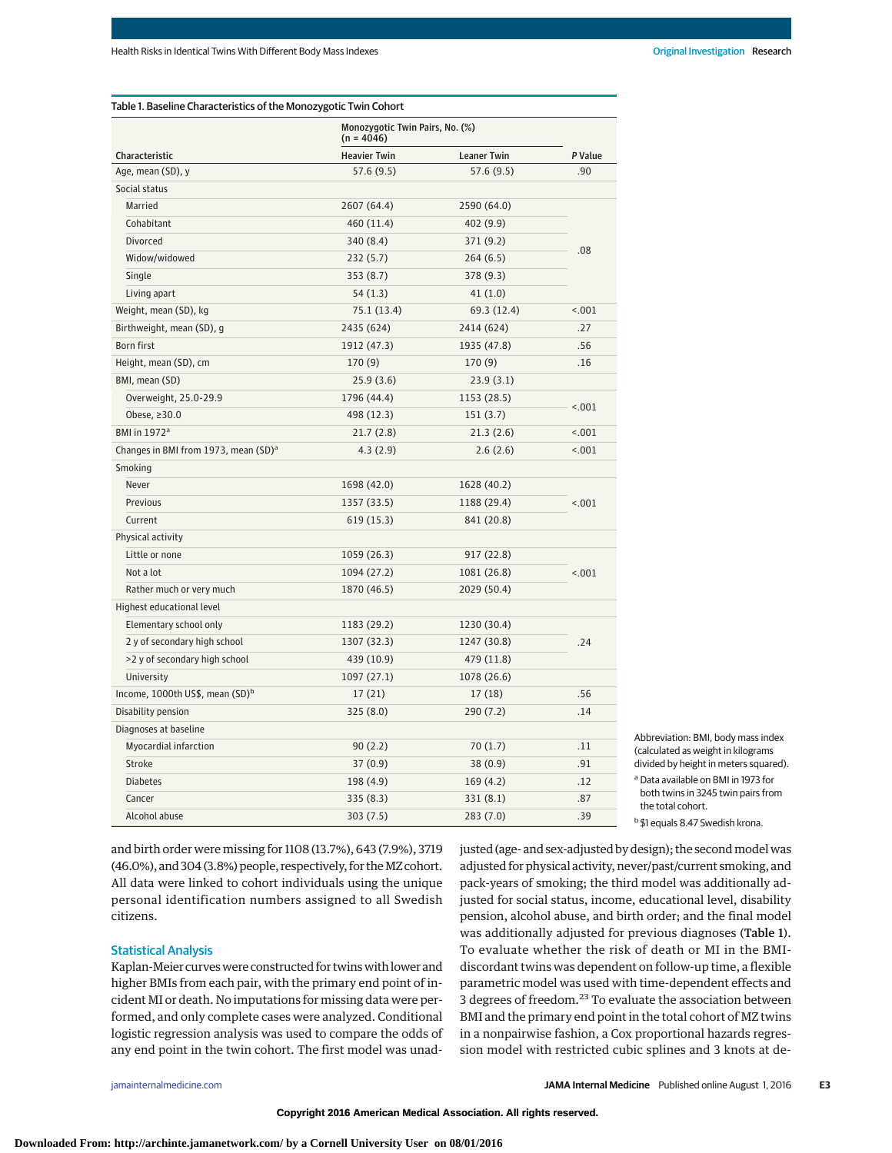|                                                  | Monozygotic Twin Pairs, No. (%)<br>$(n = 4046)$ |                    |         |  |  |  |
|--------------------------------------------------|-------------------------------------------------|--------------------|---------|--|--|--|
| Characteristic                                   | <b>Heavier Twin</b>                             | <b>Leaner Twin</b> | P Value |  |  |  |
| Age, mean (SD), y                                | 57.6 (9.5)                                      | 57.6 (9.5)         | .90     |  |  |  |
| Social status                                    |                                                 |                    |         |  |  |  |
| 2607 (64.4)<br>Married<br>2590 (64.0)            |                                                 |                    |         |  |  |  |
| Cohabitant                                       | 460 (11.4)                                      | 402 (9.9)          | .08     |  |  |  |
| Divorced                                         | 340 (8.4)                                       | 371 (9.2)          |         |  |  |  |
| Widow/widowed                                    | 232(5.7)                                        | 264(6.5)           |         |  |  |  |
| Single                                           | 353 (8.7)                                       | 378 (9.3)          |         |  |  |  |
| Living apart                                     | 54(1.3)                                         | 41(1.0)            |         |  |  |  |
| Weight, mean (SD), kg                            | 75.1 (13.4)                                     | 69.3 (12.4)        | < .001  |  |  |  |
| Birthweight, mean (SD), g                        | 2435 (624)                                      | 2414 (624)         | .27     |  |  |  |
| Born first                                       | 1912 (47.3)                                     | 1935 (47.8)        | .56     |  |  |  |
| Height, mean (SD), cm                            | 170(9)                                          | 170(9)             | .16     |  |  |  |
| BMI, mean (SD)                                   | 25.9(3.6)                                       | 23.9(3.1)          |         |  |  |  |
| Overweight, 25.0-29.9                            | 1796 (44.4)                                     | 1153 (28.5)        |         |  |  |  |
| Obese, $\geq 30.0$                               | 498 (12.3)                                      | 151(3.7)           | < .001  |  |  |  |
| BMI in 1972 <sup>a</sup>                         | 21.7(2.8)                                       | 21.3(2.6)          | < .001  |  |  |  |
| Changes in BMI from 1973, mean (SD) <sup>a</sup> | 4.3(2.9)                                        | 2.6(2.6)           | < .001  |  |  |  |
| Smoking                                          |                                                 |                    |         |  |  |  |
| Never<br>1698 (42.0)<br>1628 (40.2)              |                                                 |                    |         |  |  |  |
| Previous                                         | 1357 (33.5)                                     | 1188 (29.4)        | < 0.001 |  |  |  |
| Current                                          | 619 (15.3)                                      | 841 (20.8)         |         |  |  |  |
| Physical activity                                |                                                 |                    |         |  |  |  |
| Little or none                                   | 1059 (26.3)                                     | 917 (22.8)         |         |  |  |  |
| Not a lot                                        | 1094 (27.2)                                     | 1081 (26.8)        | < .001  |  |  |  |
| Rather much or very much                         | 1870 (46.5)                                     | 2029 (50.4)        |         |  |  |  |
| Highest educational level                        |                                                 |                    |         |  |  |  |
| Elementary school only                           | 1183 (29.2)                                     | 1230 (30.4)        |         |  |  |  |
| 2 y of secondary high school                     | 1307 (32.3)                                     | 1247 (30.8)        | .24     |  |  |  |
| >2 y of secondary high school                    | 439 (10.9)                                      | 479 (11.8)         |         |  |  |  |
| University                                       | 1097(27.1)                                      | 1078 (26.6)        |         |  |  |  |
| Income, 1000th US\$, mean (SD) <sup>b</sup>      | 17(21)                                          | 17(18)             | .56     |  |  |  |
| Disability pension                               | 325(8.0)                                        | 290(7.2)           | .14     |  |  |  |
| Diagnoses at baseline                            |                                                 |                    |         |  |  |  |
| Myocardial infarction                            | 90(2.2)                                         | 70(1.7)            | .11     |  |  |  |
| Stroke                                           | 37(0.9)                                         | 38(0.9)            | .91     |  |  |  |
| <b>Diabetes</b>                                  | 198 (4.9)                                       | 169(4.2)           | .12     |  |  |  |
| Cancer                                           | 335(8.3)                                        | 331(8.1)           | .87     |  |  |  |
| Alcohol abuse                                    | 303 (7.5)                                       | 283 (7.0)          | .39     |  |  |  |

Abbreviation: BMI, body mass index (calculated as weight in kilograms divided by height in meters squared). <sup>a</sup> Data available on BMI in 1973 for both twins in 3245 twin pairs from the total cohort. <sup>b</sup> \$1 equals 8.47 Swedish krona.

and birth order were missing for 1108 (13.7%), 643 (7.9%), 3719 (46.0%), and 304 (3.8%) people, respectively, for theMZ cohort. All data were linked to cohort individuals using the unique personal identification numbers assigned to all Swedish citizens.

## Statistical Analysis

Kaplan-Meier curveswere constructed for twinswith lower and higher BMIs from each pair, with the primary end point of incident MI or death. No imputations for missing data were performed, and only complete cases were analyzed. Conditional logistic regression analysis was used to compare the odds of any end point in the twin cohort. The first model was unadjusted (age- and sex-adjusted by design); the second model was adjusted for physical activity, never/past/current smoking, and pack-years of smoking; the third model was additionally adjusted for social status, income, educational level, disability pension, alcohol abuse, and birth order; and the final model was additionally adjusted for previous diagnoses (Table 1). To evaluate whether the risk of death or MI in the BMIdiscordant twins was dependent on follow-up time, a flexible parametric model was used with time-dependent effects and 3 degrees of freedom.<sup>23</sup> To evaluate the association between BMI and the primary end point in the total cohort of MZ twins in a nonpairwise fashion, a Cox proportional hazards regression model with restricted cubic splines and 3 knots at de-

| jamainternalmedicine.com |  |  |
|--------------------------|--|--|
|                          |  |  |

# **Downloaded From: http://archinte.jamanetwork.com/ by a Cornell University User on 08/01/2016**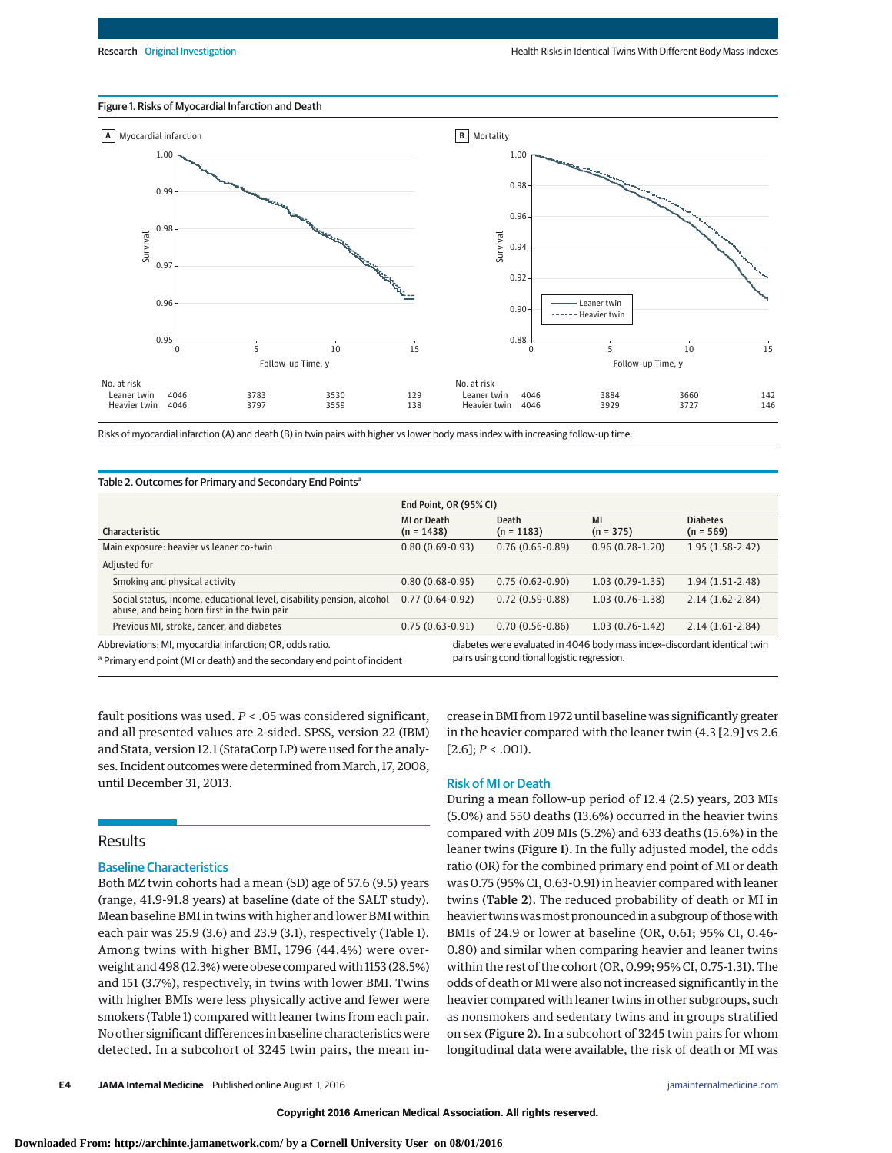

#### Figure 1. Risks of Myocardial Infarction and Death

Risks of myocardial infarction (A) and death (B) in twin pairs with higher vs lower body mass index with increasing follow-up time.

#### Table 2. Outcomes for Primary and Secondary End Points<sup>a</sup>

|                                                                                                                       | End Point, OR (95% CI)             |                                                                           |                   |                                |  |
|-----------------------------------------------------------------------------------------------------------------------|------------------------------------|---------------------------------------------------------------------------|-------------------|--------------------------------|--|
| Characteristic                                                                                                        | <b>MI</b> or Death<br>$(n = 1438)$ | Death<br>$(n = 1183)$                                                     | MI<br>$(n = 375)$ | <b>Diabetes</b><br>$(n = 569)$ |  |
| Main exposure: heavier vs leaner co-twin                                                                              | $0.80(0.69-0.93)$                  | $0.76(0.65-0.89)$                                                         | $0.96(0.78-1.20)$ | $1.95(1.58-2.42)$              |  |
| Adjusted for                                                                                                          |                                    |                                                                           |                   |                                |  |
| Smoking and physical activity                                                                                         | $0.80(0.68-0.95)$                  | $0.75(0.62-0.90)$                                                         | $1.03(0.79-1.35)$ | $1.94(1.51-2.48)$              |  |
| Social status, income, educational level, disability pension, alcohol<br>abuse, and being born first in the twin pair | $0.77(0.64-0.92)$                  | $0.72(0.59-0.88)$                                                         | $1.03(0.76-1.38)$ | $2.14(1.62 - 2.84)$            |  |
| Previous MI, stroke, cancer, and diabetes                                                                             | $0.75(0.63-0.91)$                  | $0.70(0.56-0.86)$                                                         | $1.03(0.76-1.42)$ | $2.14(1.61-2.84)$              |  |
| Abbreviations: MI, myocardial infarction; OR, odds ratio.                                                             |                                    | diabetes were evaluated in 4046 body mass index-discordant identical twin |                   |                                |  |
| <sup>a</sup> Primary end point (MI or death) and the secondary end point of incident                                  |                                    | pairs using conditional logistic regression.                              |                   |                                |  |

fault positions was used. *P* < .05 was considered significant, and all presented values are 2-sided. SPSS, version 22 (IBM) and Stata, version 12.1 (StataCorp LP) were used for the analyses. Incident outcomes were determined from March, 17, 2008, until December 31, 2013.

# **Results**

## Baseline Characteristics

Both MZ twin cohorts had a mean (SD) age of 57.6 (9.5) years (range, 41.9-91.8 years) at baseline (date of the SALT study). Mean baseline BMI in twins with higher and lower BMI within each pair was 25.9 (3.6) and 23.9 (3.1), respectively (Table 1). Among twins with higher BMI, 1796 (44.4%) were overweight and 498 (12.3%) were obese compared with 1153 (28.5%) and 151 (3.7%), respectively, in twins with lower BMI. Twins with higher BMIs were less physically active and fewer were smokers (Table 1) compared with leaner twins from each pair. No other significant differences in baseline characteristics were detected. In a subcohort of 3245 twin pairs, the mean increase in BMI from 1972 until baseline was significantly greater in the heavier compared with the leaner twin (4.3 [2.9] vs 2.6  $[2.6]$ ;  $P < .001$ ).

## Risk of MI or Death

During a mean follow-up period of 12.4 (2.5) years, 203 MIs (5.0%) and 550 deaths (13.6%) occurred in the heavier twins compared with 209 MIs (5.2%) and 633 deaths (15.6%) in the leaner twins (Figure 1). In the fully adjusted model, the odds ratio (OR) for the combined primary end point of MI or death was 0.75 (95% CI, 0.63-0.91) in heavier compared with leaner twins (Table 2). The reduced probability of death or MI in heavier twins was most pronounced in a subgroup of those with BMIs of 24.9 or lower at baseline (OR, 0.61; 95% CI, 0.46- 0.80) and similar when comparing heavier and leaner twins within the rest of the cohort (OR, 0.99; 95% CI, 0.75-1.31). The odds of death or MI were also not increased significantly in the heavier compared with leaner twins in other subgroups, such as nonsmokers and sedentary twins and in groups stratified on sex (Figure 2). In a subcohort of 3245 twin pairs for whom longitudinal data were available, the risk of death or MI was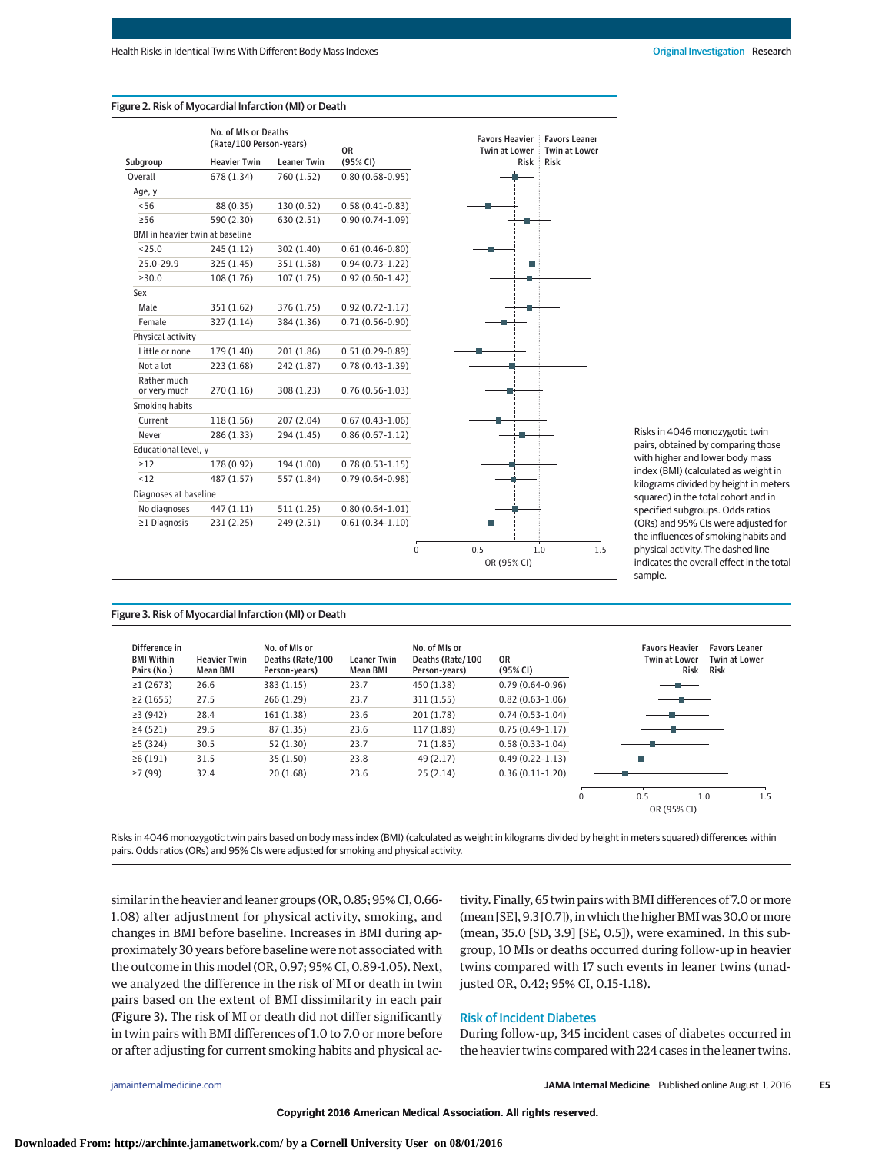#### Figure 2. Risk of Myocardial Infarction (MI) or Death

|                                 | No. of MIs or Deaths<br>(Rate/100 Person-years) |                    | 0R                  |   | <b>Favors</b><br>Twin a |
|---------------------------------|-------------------------------------------------|--------------------|---------------------|---|-------------------------|
| Subgroup                        | <b>Heavier Twin</b>                             | <b>Leaner Twin</b> | (95% CI)            |   |                         |
| Overall                         | 678 (1.34)                                      | 760 (1.52)         | $0.80(0.68-0.95)$   |   |                         |
| Age, y                          |                                                 |                    |                     |   |                         |
| < 56                            | 88 (0.35)                                       | 130 (0.52)         | $0.58(0.41 - 0.83)$ |   |                         |
| >56                             | 590 (2.30)                                      | 630 (2.51)         | $0.90(0.74-1.09)$   |   |                         |
| BMI in heavier twin at baseline |                                                 |                    |                     |   |                         |
| 25.0                            | 245(1.12)                                       | 302 (1.40)         | $0.61(0.46 - 0.80)$ |   |                         |
| 25.0-29.9                       | 325 (1.45)                                      | 351 (1.58)         | $0.94(0.73-1.22)$   |   |                         |
| ≥30.0                           | 108 (1.76)                                      | 107(1.75)          | $0.92(0.60-1.42)$   |   |                         |
| Sex                             |                                                 |                    |                     |   |                         |
| Male                            | 351 (1.62)                                      | 376 (1.75)         | $0.92(0.72 - 1.17)$ |   |                         |
| Female                          | 327 (1.14)                                      | 384 (1.36)         | $0.71(0.56 - 0.90)$ |   |                         |
| Physical activity               |                                                 |                    |                     |   |                         |
| Little or none                  | 179 (1.40)                                      | 201 (1.86)         | $0.51(0.29-0.89)$   |   |                         |
| Not a lot                       | 223 (1.68)                                      | 242 (1.87)         | $0.78(0.43 - 1.39)$ |   |                         |
| Rather much<br>or very much     | 270 (1.16)                                      | 308 (1.23)         | $0.76(0.56-1.03)$   |   |                         |
| Smoking habits                  |                                                 |                    |                     |   |                         |
| Current                         | 118 (1.56)                                      | 207 (2.04)         | $0.67(0.43-1.06)$   |   |                         |
| Never                           | 286 (1.33)                                      | 294 (1.45)         | $0.86(0.67 - 1.12)$ |   |                         |
| Educational level, y            |                                                 |                    |                     |   |                         |
| >12                             | 178 (0.92)                                      | 194 (1.00)         | $0.78(0.53 - 1.15)$ |   |                         |
| < 12                            | 487 (1.57)                                      | 557 (1.84)         | $0.79(0.64 - 0.98)$ |   |                         |
| Diagnoses at baseline           |                                                 |                    |                     |   |                         |
| No diagnoses                    | 447 (1.11)                                      | 511(1.25)          | $0.80(0.64-1.01)$   |   |                         |
| $\geq$ 1 Diagnosis              | 231(2.25)                                       | 249 (2.51)         | $0.61(0.34-1.10)$   |   |                         |
|                                 |                                                 |                    |                     | 0 | 0.5                     |

Heavier at Lower Risk Favors Leaner Twin at Lower Risk 0 1.0 1.5 OR (95% CI)

Risks in 4046 monozygotic twin pairs, obtained by comparing those with higher and lower body mass index (BMI) (calculated as weight in kilograms divided by height in meters squared) in the total cohort and in specified subgroups. Odds ratios (ORs) and 95% CIs were adjusted for the influences of smoking habits and physical activity. The dashed line indicates the overall effect in the total sample.

# Figure 3. Risk of Myocardial Infarction (MI) or Death

| Difference in<br><b>BMI Within</b><br>Pairs (No.) | <b>Heavier Twin</b><br><b>Mean BMI</b> | No. of MIs or<br>Deaths (Rate/100<br>Person-years) | <b>Leaner Twin</b><br><b>Mean BMI</b> | No. of MIs or<br>Deaths (Rate/100<br>Person-years) | 0R<br>(95% CI)      |          | Twin at Lower<br>Risk | <b>Favors Heavier Eavors Leaner</b><br>Twin at Lower<br>Risk |
|---------------------------------------------------|----------------------------------------|----------------------------------------------------|---------------------------------------|----------------------------------------------------|---------------------|----------|-----------------------|--------------------------------------------------------------|
| $\geq$ 1 (2673)                                   | 26.6                                   | 383(1.15)                                          | 23.7                                  | 450 (1.38)                                         | $0.79(0.64-0.96)$   |          | —                     |                                                              |
| $\geq$ (1655)                                     | 27.5                                   | 266 (1.29)                                         | 23.7                                  | 311(1.55)                                          | $0.82(0.63 - 1.06)$ |          |                       |                                                              |
| $\geq$ 3 (942)                                    | 28.4                                   | 161(1.38)                                          | 23.6                                  | 201 (1.78)                                         | $0.74(0.53 - 1.04)$ |          |                       |                                                              |
| $\geq 4(521)$                                     | 29.5                                   | 87(1.35)                                           | 23.6                                  | 117 (1.89)                                         | $0.75(0.49-1.17)$   |          |                       |                                                              |
| $\geq$ 5 (324)                                    | 30.5                                   | 52(1.30)                                           | 23.7                                  | 71 (1.85)                                          | $0.58(0.33 - 1.04)$ |          |                       |                                                              |
| $\geq 6(191)$                                     | 31.5                                   | 35(1.50)                                           | 23.8                                  | 49 (2.17)                                          | $0.49(0.22 - 1.13)$ |          |                       |                                                              |
| $\geq$ 7 (99)                                     | 32.4                                   | 20(1.68)                                           | 23.6                                  | 25(2.14)                                           | $0.36(0.11-1.20)$   |          |                       |                                                              |
|                                                   |                                        |                                                    |                                       |                                                    |                     | $\Omega$ | 0.5<br>OR (95% CI)    | 1.0<br>1.5                                                   |

Risks in 4046 monozygotic twin pairs based on body mass index (BMI) (calculated as weight in kilograms divided by height in meters squared) differences within pairs. Odds ratios (ORs) and 95% CIs were adjusted for smoking and physical activity.

similar in the heavier and leaner groups (OR, 0.85; 95% CI, 0.66- 1.08) after adjustment for physical activity, smoking, and changes in BMI before baseline. Increases in BMI during approximately 30 years before baseline were not associated with the outcome in this model (OR, 0.97; 95% CI, 0.89-1.05). Next, we analyzed the difference in the risk of MI or death in twin pairs based on the extent of BMI dissimilarity in each pair (Figure 3). The risk of MI or death did not differ significantly in twin pairs with BMI differences of 1.0 to 7.0 or more before or after adjusting for current smoking habits and physical activity. Finally, 65 twin pairs with BMI differences of 7.0 or more (mean [SE], 9.3 [0.7]), in which the higher BMI was 30.0 or more (mean, 35.0 [SD, 3.9] [SE, 0.5]), were examined. In this subgroup, 10 MIs or deaths occurred during follow-up in heavier twins compared with 17 such events in leaner twins (unadjusted OR, 0.42; 95% CI, 0.15-1.18).

## Risk of Incident Diabetes

During follow-up, 345 incident cases of diabetes occurred in the heavier twins compared with 224 cases in the leaner twins.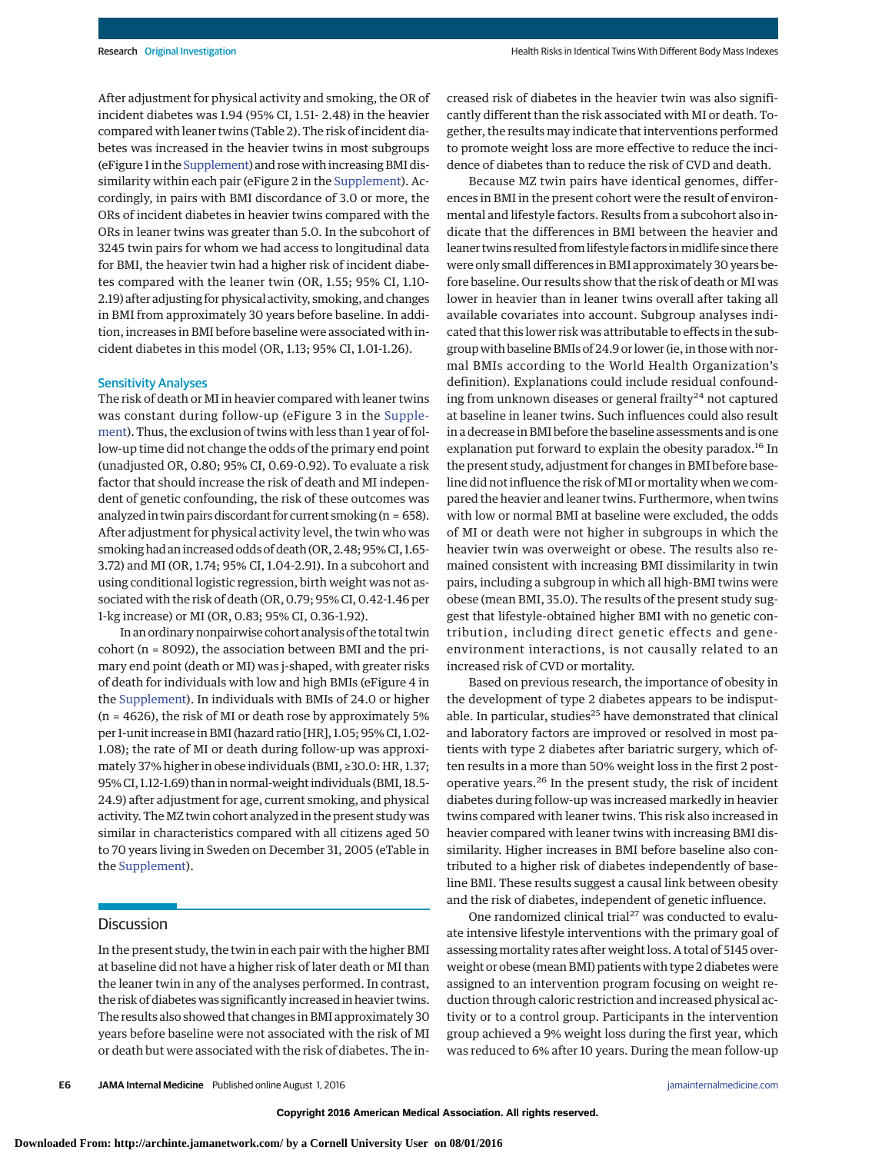After adjustment for physical activity and smoking, the OR of incident diabetes was 1.94 (95% CI, 1.51- 2.48) in the heavier compared with leaner twins (Table 2). The risk of incident diabetes was increased in the heavier twins in most subgroups (eFigure 1 in the [Supplement\)](http://jama.jamanetwork.com/article.aspx?doi=10.1001/jamainternmed.2016.4104&utm_campaign=articlePDF%26utm_medium=articlePDFlink%26utm_source=articlePDF%26utm_content=jamainternmed.2016.4104) and rose with increasing BMI dissimilarity within each pair (eFigure 2 in the [Supplement\)](http://jama.jamanetwork.com/article.aspx?doi=10.1001/jamainternmed.2016.4104&utm_campaign=articlePDF%26utm_medium=articlePDFlink%26utm_source=articlePDF%26utm_content=jamainternmed.2016.4104). Accordingly, in pairs with BMI discordance of 3.0 or more, the ORs of incident diabetes in heavier twins compared with the ORs in leaner twins was greater than 5.0. In the subcohort of 3245 twin pairs for whom we had access to longitudinal data for BMI, the heavier twin had a higher risk of incident diabetes compared with the leaner twin (OR, 1.55; 95% CI, 1.10- 2.19) after adjusting for physical activity, smoking, and changes in BMI from approximately 30 years before baseline. In addition, increases in BMI before baseline were associated with incident diabetes in this model (OR, 1.13; 95% CI, 1.01-1.26).

# Sensitivity Analyses

The risk of death or MI in heavier compared with leaner twins was constant during follow-up (eFigure 3 in the [Supple](http://jama.jamanetwork.com/article.aspx?doi=10.1001/jamainternmed.2016.4104&utm_campaign=articlePDF%26utm_medium=articlePDFlink%26utm_source=articlePDF%26utm_content=jamainternmed.2016.4104)[ment\)](http://jama.jamanetwork.com/article.aspx?doi=10.1001/jamainternmed.2016.4104&utm_campaign=articlePDF%26utm_medium=articlePDFlink%26utm_source=articlePDF%26utm_content=jamainternmed.2016.4104). Thus, the exclusion of twins with less than 1 year of follow-up time did not change the odds of the primary end point (unadjusted OR, 0.80; 95% CI, 0.69-0.92). To evaluate a risk factor that should increase the risk of death and MI independent of genetic confounding, the risk of these outcomes was analyzed in twin pairs discordant for current smoking  $(n = 658)$ . After adjustment for physical activity level, the twin who was smoking had an increased odds of death (OR, 2.48; 95% CI, 1.65- 3.72) and MI (OR, 1.74; 95% CI, 1.04-2.91). In a subcohort and using conditional logistic regression, birth weight was not associated with the risk of death (OR, 0.79; 95% CI, 0.42-1.46 per 1-kg increase) or MI (OR, 0.83; 95% CI, 0.36-1.92).

In an ordinary nonpairwise cohort analysis of the total twin cohort (n = 8092), the association between BMI and the primary end point (death or MI) was j-shaped, with greater risks of death for individuals with low and high BMIs (eFigure 4 in the [Supplement\)](http://jama.jamanetwork.com/article.aspx?doi=10.1001/jamainternmed.2016.4104&utm_campaign=articlePDF%26utm_medium=articlePDFlink%26utm_source=articlePDF%26utm_content=jamainternmed.2016.4104). In individuals with BMIs of 24.0 or higher  $(n = 4626)$ , the risk of MI or death rose by approximately 5% per 1-unit increase in BMI (hazard ratio [HR], 1.05; 95% CI, 1.02- 1.08); the rate of MI or death during follow-up was approximately 37% higher in obese individuals (BMI, ≥30.0: HR, 1.37; 95% CI, 1.12-1.69) than in normal-weight individuals (BMI, 18.5- 24.9) after adjustment for age, current smoking, and physical activity. The MZ twin cohort analyzed in the present study was similar in characteristics compared with all citizens aged 50 to 70 years living in Sweden on December 31, 2005 (eTable in the [Supplement\)](http://jama.jamanetwork.com/article.aspx?doi=10.1001/jamainternmed.2016.4104&utm_campaign=articlePDF%26utm_medium=articlePDFlink%26utm_source=articlePDF%26utm_content=jamainternmed.2016.4104).

# **Discussion**

In the present study, the twin in each pair with the higher BMI at baseline did not have a higher risk of later death or MI than the leaner twin in any of the analyses performed. In contrast, the risk of diabetes was significantly increased in heavier twins. The results also showed that changes in BMI approximately 30 years before baseline were not associated with the risk of MI or death but were associated with the risk of diabetes. The increased risk of diabetes in the heavier twin was also significantly different than the risk associated with MI or death. Together, the results may indicate that interventions performed to promote weight loss are more effective to reduce the incidence of diabetes than to reduce the risk of CVD and death.

Because MZ twin pairs have identical genomes, differences in BMI in the present cohort were the result of environmental and lifestyle factors. Results from a subcohort also indicate that the differences in BMI between the heavier and leaner twins resulted from lifestyle factors in midlife since there were only small differences in BMI approximately 30 years before baseline. Our results show that the risk of death or MI was lower in heavier than in leaner twins overall after taking all available covariates into account. Subgroup analyses indicated that this lower risk was attributable to effects in the subgroup with baseline BMIs of 24.9 or lower (ie, in those with normal BMIs according to the World Health Organization's definition). Explanations could include residual confounding from unknown diseases or general frailty $24$  not captured at baseline in leaner twins. Such influences could also result in a decrease in BMI before the baseline assessments and is one explanation put forward to explain the obesity paradox.<sup>16</sup> In the present study, adjustment for changes in BMI before baseline did not influence the risk of MI or mortality when we compared the heavier and leaner twins. Furthermore, when twins with low or normal BMI at baseline were excluded, the odds of MI or death were not higher in subgroups in which the heavier twin was overweight or obese. The results also remained consistent with increasing BMI dissimilarity in twin pairs, including a subgroup in which all high-BMI twins were obese (mean BMI, 35.0). The results of the present study suggest that lifestyle-obtained higher BMI with no genetic contribution, including direct genetic effects and geneenvironment interactions, is not causally related to an increased risk of CVD or mortality.

Based on previous research, the importance of obesity in the development of type 2 diabetes appears to be indisputable. In particular, studies<sup>25</sup> have demonstrated that clinical and laboratory factors are improved or resolved in most patients with type 2 diabetes after bariatric surgery, which often results in a more than 50% weight loss in the first 2 postoperative years.<sup>26</sup> In the present study, the risk of incident diabetes during follow-up was increased markedly in heavier twins compared with leaner twins. This risk also increased in heavier compared with leaner twins with increasing BMI dissimilarity. Higher increases in BMI before baseline also contributed to a higher risk of diabetes independently of baseline BMI. These results suggest a causal link between obesity and the risk of diabetes, independent of genetic influence.

One randomized clinical trial<sup>27</sup> was conducted to evaluate intensive lifestyle interventions with the primary goal of assessing mortality rates after weight loss. A total of 5145 overweight or obese (mean BMI) patients with type 2 diabetes were assigned to an intervention program focusing on weight reduction through caloric restriction and increased physical activity or to a control group. Participants in the intervention group achieved a 9% weight loss during the first year, which was reduced to 6% after 10 years. During the mean follow-up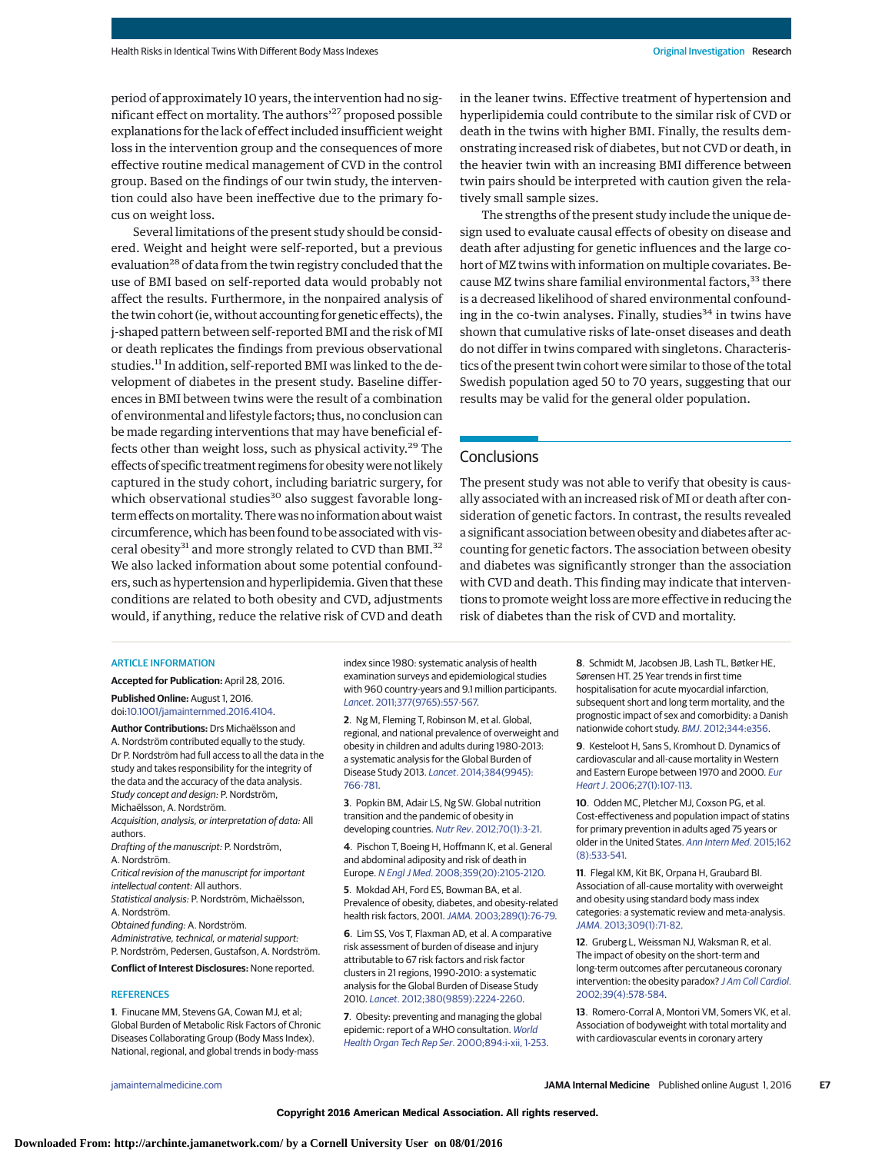period of approximately 10 years, the intervention had no significant effect on mortality. The authors'27 proposed possible explanations for the lack of effect included insufficient weight loss in the intervention group and the consequences of more effective routine medical management of CVD in the control group. Based on the findings of our twin study, the intervention could also have been ineffective due to the primary focus on weight loss.

Several limitations of the present study should be considered. Weight and height were self-reported, but a previous evaluation<sup>28</sup> of data from the twin registry concluded that the use of BMI based on self-reported data would probably not affect the results. Furthermore, in the nonpaired analysis of the twin cohort (ie, without accounting for genetic effects), the j-shaped pattern between self-reported BMI and the risk of MI or death replicates the findings from previous observational studies.11 In addition, self-reported BMI was linked to the development of diabetes in the present study. Baseline differences in BMI between twins were the result of a combination of environmental and lifestyle factors; thus, no conclusion can be made regarding interventions that may have beneficial effects other than weight loss, such as physical activity.<sup>29</sup> The effects of specific treatment regimens for obesitywere not likely captured in the study cohort, including bariatric surgery, for which observational studies<sup>30</sup> also suggest favorable longterm effects on mortality. There was no information about waist circumference, which has been found to be associated with visceral obesity<sup>31</sup> and more strongly related to CVD than BMI.<sup>32</sup> We also lacked information about some potential confounders, such as hypertension and hyperlipidemia. Given that these conditions are related to both obesity and CVD, adjustments would, if anything, reduce the relative risk of CVD and death

ARTICLE INFORMATION

**Accepted for Publication:** April 28, 2016.

**Published Online:** August 1, 2016. doi[:10.1001/jamainternmed.2016.4104.](http://jama.jamanetwork.com/article.aspx?doi=10.1001/jamainternmed.2016.4104&utm_campaign=articlePDF%26utm_medium=articlePDFlink%26utm_source=articlePDF%26utm_content=jamainternmed.2016.4104)

**Author Contributions:** Drs Michaëlsson and A. Nordström contributed equally to the study. Dr P. Nordström had full access to all the data in the study and takes responsibility for the integrity of the data and the accuracy of the data analysis. Study concept and design: P. Nordström, Michaëlsson, A. Nordström.

Acquisition, analysis, or interpretation of data: All authors.

Drafting of the manuscript: P. Nordström, A. Nordström.

Critical revision of the manuscript for important intellectual content: All authors.

Statistical analysis: P. Nordström, Michaëlsson, A. Nordström.

Obtained funding: A. Nordström.

Administrative, technical, or material support: P. Nordström, Pedersen, Gustafson, A. Nordström.

**Conflict of Interest Disclosures:** None reported.

#### REFERENCES

**1**. Finucane MM, Stevens GA, Cowan MJ, et al; Global Burden of Metabolic Risk Factors of Chronic Diseases Collaborating Group (Body Mass Index). National, regional, and global trends in body-mass

index since 1980: systematic analysis of health examination surveys and epidemiological studies with 960 country-years and 9.1 million participants. Lancet[. 2011;377\(9765\):557-567.](http://www.ncbi.nlm.nih.gov/pubmed/21295846)

**2**. Ng M, Fleming T, Robinson M, et al. Global, regional, and national prevalence of overweight and obesity in children and adults during 1980-2013: a systematic analysis for the Global Burden of Disease Study 2013. Lancet[. 2014;384\(9945\):](http://www.ncbi.nlm.nih.gov/pubmed/24880830) [766-781.](http://www.ncbi.nlm.nih.gov/pubmed/24880830)

**3**. Popkin BM, Adair LS, Ng SW. Global nutrition transition and the pandemic of obesity in developing countries. Nutr Rev[. 2012;70\(1\):3-21.](http://www.ncbi.nlm.nih.gov/pubmed/22221213)

**4**. Pischon T, Boeing H, Hoffmann K, et al. General and abdominal adiposity and risk of death in Europe. N Engl J Med[. 2008;359\(20\):2105-2120.](http://www.ncbi.nlm.nih.gov/pubmed/19005195)

**5**. Mokdad AH, Ford ES, Bowman BA, et al. Prevalence of obesity, diabetes, and obesity-related health risk factors, 2001.JAMA[. 2003;289\(1\):76-79.](http://www.ncbi.nlm.nih.gov/pubmed/12503980)

**6**. Lim SS, Vos T, Flaxman AD, et al. A comparative risk assessment of burden of disease and injury attributable to 67 risk factors and risk factor clusters in 21 regions, 1990-2010: a systematic analysis for the Global Burden of Disease Study 2010. Lancet[. 2012;380\(9859\):2224-2260.](http://www.ncbi.nlm.nih.gov/pubmed/23245609)

**7**. Obesity: preventing and managing the global epidemic: report of a WHO consultation. [World](http://www.ncbi.nlm.nih.gov/pubmed/11234459) [Health Organ Tech Rep Ser](http://www.ncbi.nlm.nih.gov/pubmed/11234459). 2000;894:i-xii, 1-253.

in the leaner twins. Effective treatment of hypertension and hyperlipidemia could contribute to the similar risk of CVD or death in the twins with higher BMI. Finally, the results demonstrating increased risk of diabetes, but not CVD or death, in the heavier twin with an increasing BMI difference between twin pairs should be interpreted with caution given the relatively small sample sizes.

The strengths of the present study include the unique design used to evaluate causal effects of obesity on disease and death after adjusting for genetic influences and the large cohort of MZ twins with information on multiple covariates. Because MZ twins share familial environmental factors,<sup>33</sup> there is a decreased likelihood of shared environmental confounding in the co-twin analyses. Finally, studies<sup>34</sup> in twins have shown that cumulative risks of late-onset diseases and death do not differ in twins compared with singletons. Characteristics of the present twin cohort were similar to those of the total Swedish population aged 50 to 70 years, suggesting that our results may be valid for the general older population.

# **Conclusions**

The present study was not able to verify that obesity is causally associated with an increased risk of MI or death after consideration of genetic factors. In contrast, the results revealed a significant association between obesity and diabetes after accounting for genetic factors. The association between obesity and diabetes was significantly stronger than the association with CVD and death. This finding may indicate that interventions to promote weight loss are more effective in reducing the risk of diabetes than the risk of CVD and mortality.

> **8**. Schmidt M, Jacobsen JB, Lash TL, Bøtker HE, Sørensen HT. 25 Year trends in first time hospitalisation for acute myocardial infarction, subsequent short and long term mortality, and the prognostic impact of sex and comorbidity: a Danish nationwide cohort study. BMJ[. 2012;344:e356.](http://www.ncbi.nlm.nih.gov/pubmed/22279115)

**9**. Kesteloot H, Sans S, Kromhout D. Dynamics of cardiovascular and all-cause mortality in Western and Eastern Europe between 1970 and 2000. [Eur](http://www.ncbi.nlm.nih.gov/pubmed/16204263) Heart J[. 2006;27\(1\):107-113.](http://www.ncbi.nlm.nih.gov/pubmed/16204263)

**10**. Odden MC, Pletcher MJ, Coxson PG, et al. Cost-effectiveness and population impact of statins for primary prevention in adults aged 75 years or older in the United States. [Ann Intern Med](http://www.ncbi.nlm.nih.gov/pubmed/25894023). 2015;162 [\(8\):533-541.](http://www.ncbi.nlm.nih.gov/pubmed/25894023)

**11**. Flegal KM, Kit BK, Orpana H, Graubard BI. Association of all-cause mortality with overweight and obesity using standard body mass index categories: a systematic review and meta-analysis. JAMA[. 2013;309\(1\):71-82.](http://www.ncbi.nlm.nih.gov/pubmed/23280227)

**12**. Gruberg L, Weissman NJ, Waksman R, et al. The impact of obesity on the short-term and long-term outcomes after percutaneous coronary intervention: the obesity paradox? [J Am Coll Cardiol](http://www.ncbi.nlm.nih.gov/pubmed/11849854). [2002;39\(4\):578-584.](http://www.ncbi.nlm.nih.gov/pubmed/11849854)

**13**. Romero-Corral A, Montori VM, Somers VK, et al. Association of bodyweight with total mortality and with cardiovascular events in coronary artery